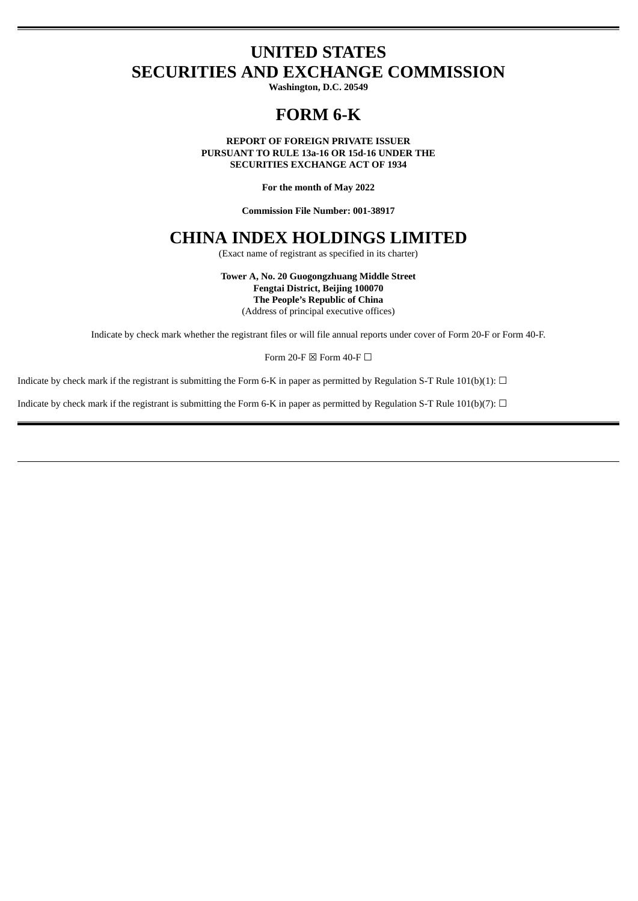# **UNITED STATES SECURITIES AND EXCHANGE COMMISSION**

**Washington, D.C. 20549**

# **FORM 6-K**

**REPORT OF FOREIGN PRIVATE ISSUER PURSUANT TO RULE 13a-16 OR 15d-16 UNDER THE SECURITIES EXCHANGE ACT OF 1934**

**For the month of May 2022**

**Commission File Number: 001-38917**

# **CHINA INDEX HOLDINGS LIMITED**

(Exact name of registrant as specified in its charter)

**Tower A, No. 20 Guogongzhuang Middle Street Fengtai District, Beijing 100070 The People's Republic of China** (Address of principal executive offices)

Indicate by check mark whether the registrant files or will file annual reports under cover of Form 20-F or Form 40-F.

Form 20-F  $\boxtimes$  Form 40-F  $\Box$ 

Indicate by check mark if the registrant is submitting the Form 6-K in paper as permitted by Regulation S-T Rule 101(b)(1):  $\Box$ 

Indicate by check mark if the registrant is submitting the Form 6-K in paper as permitted by Regulation S-T Rule 101(b)(7):  $\Box$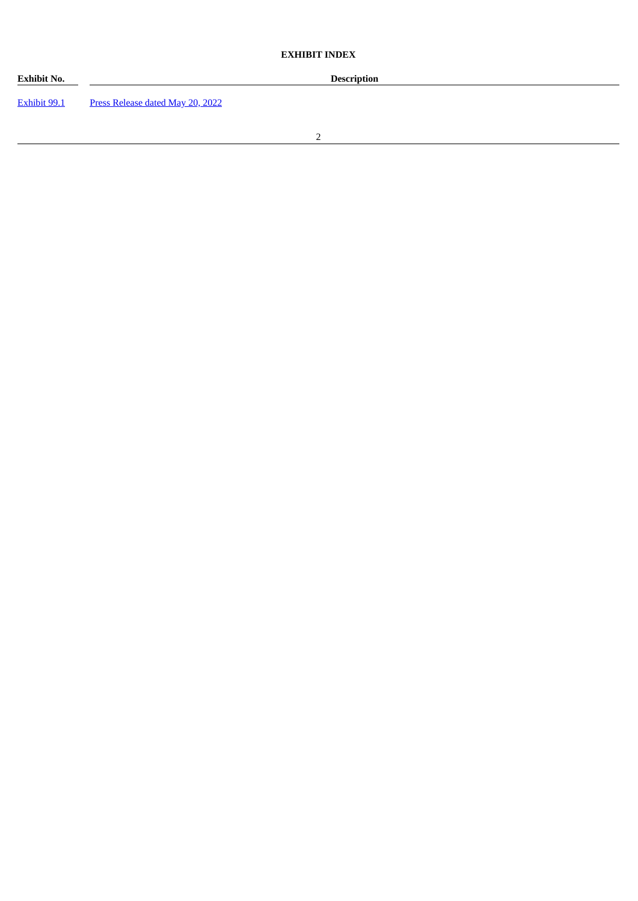# **EXHIBIT INDEX**

| Exhibit No.  |                                  | <b>Description</b> |  |
|--------------|----------------------------------|--------------------|--|
| Exhibit 99.1 | Press Release dated May 20, 2022 |                    |  |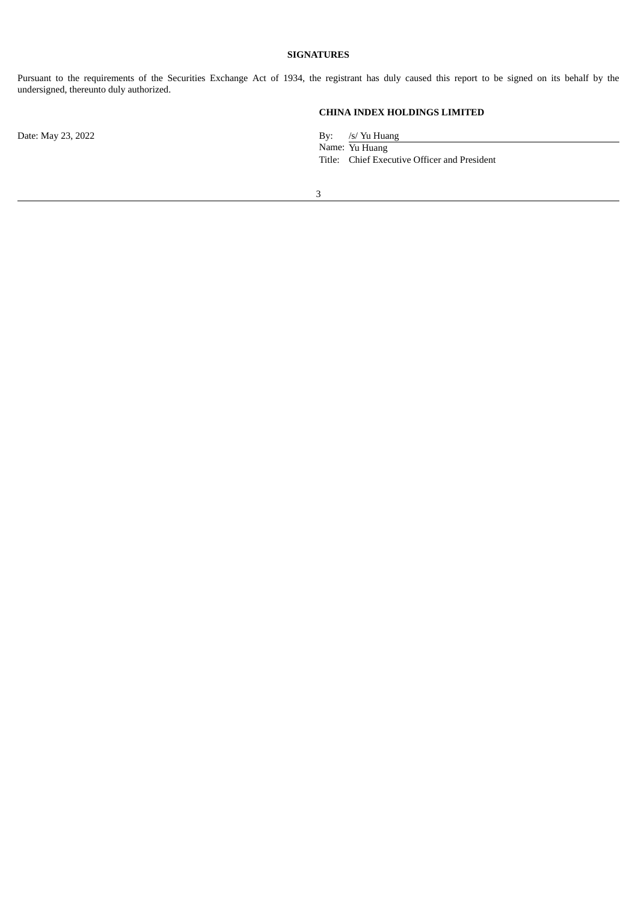# **SIGNATURES**

Pursuant to the requirements of the Securities Exchange Act of 1934, the registrant has duly caused this report to be signed on its behalf by the undersigned, thereunto duly authorized.

**CHINA INDEX HOLDINGS LIMITED**

Date: May 23, 2022 By: /s/ Yu Huang Name: Yu Huang Title: Chief Executive Officer and President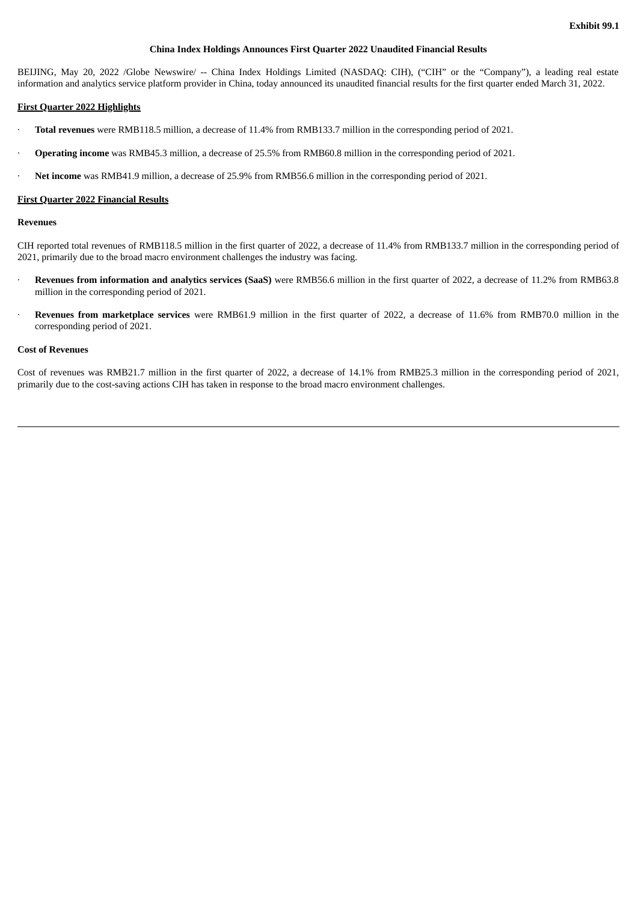# **China Index Holdings Announces First Quarter 2022 Unaudited Financial Results**

<span id="page-3-0"></span>BEIJING, May 20, 2022 /Globe Newswire/ -- China Index Holdings Limited (NASDAQ: CIH), ("CIH" or the "Company"), a leading real estate information and analytics service platform provider in China, today announced its unaudited financial results for the first quarter ended March 31, 2022.

## **First Quarter 2022 Highlights**

- · **Total revenues** were RMB118.5 million, a decrease of 11.4% from RMB133.7 million in the corresponding period of 2021.
- · **Operating income** was RMB45.3 million, a decrease of 25.5% from RMB60.8 million in the corresponding period of 2021.
- · **Net income** was RMB41.9 million, a decrease of 25.9% from RMB56.6 million in the corresponding period of 2021.

#### **First Quarter 2022 Financial Results**

## **Revenues**

CIH reported total revenues of RMB118.5 million in the first quarter of 2022, a decrease of 11.4% from RMB133.7 million in the corresponding period of 2021, primarily due to the broad macro environment challenges the industry was facing.

- · **Revenues from information and analytics services (SaaS)** were RMB56.6 million in the first quarter of 2022, a decrease of 11.2% from RMB63.8 million in the corresponding period of 2021.
- · **Revenues from marketplace services** were RMB61.9 million in the first quarter of 2022, a decrease of 11.6% from RMB70.0 million in the corresponding period of 2021.

#### **Cost of Revenues**

Cost of revenues was RMB21.7 million in the first quarter of 2022, a decrease of 14.1% from RMB25.3 million in the corresponding period of 2021, primarily due to the cost-saving actions CIH has taken in response to the broad macro environment challenges.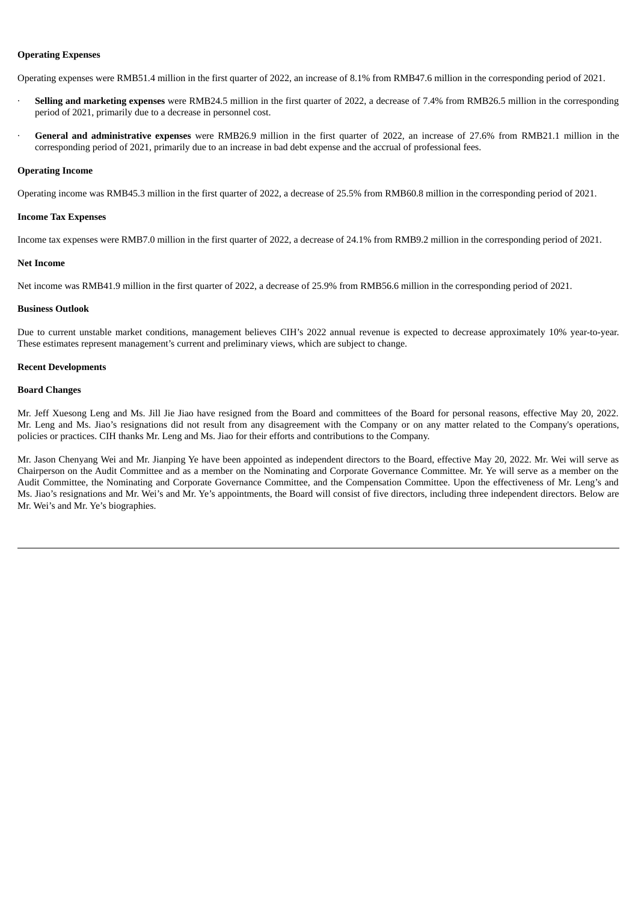# **Operating Expenses**

Operating expenses were RMB51.4 million in the first quarter of 2022, an increase of 8.1% from RMB47.6 million in the corresponding period of 2021.

- · **Selling and marketing expenses** were RMB24.5 million in the first quarter of 2022, a decrease of 7.4% from RMB26.5 million in the corresponding period of 2021, primarily due to a decrease in personnel cost.
- · **General and administrative expenses** were RMB26.9 million in the first quarter of 2022, an increase of 27.6% from RMB21.1 million in the corresponding period of 2021, primarily due to an increase in bad debt expense and the accrual of professional fees.

#### **Operating Income**

Operating income was RMB45.3 million in the first quarter of 2022, a decrease of 25.5% from RMB60.8 million in the corresponding period of 2021.

# **Income Tax Expenses**

Income tax expenses were RMB7.0 million in the first quarter of 2022, a decrease of 24.1% from RMB9.2 million in the corresponding period of 2021.

#### **Net Income**

Net income was RMB41.9 million in the first quarter of 2022, a decrease of 25.9% from RMB56.6 million in the corresponding period of 2021.

## **Business Outlook**

Due to current unstable market conditions, management believes CIH's 2022 annual revenue is expected to decrease approximately 10% year-to-year. These estimates represent management's current and preliminary views, which are subject to change.

## **Recent Developments**

## **Board Changes**

Mr. Jeff Xuesong Leng and Ms. Jill Jie Jiao have resigned from the Board and committees of the Board for personal reasons, effective May 20, 2022. Mr. Leng and Ms. Jiao's resignations did not result from any disagreement with the Company or on any matter related to the Company's operations, policies or practices. CIH thanks Mr. Leng and Ms. Jiao for their efforts and contributions to the Company.

Mr. Jason Chenyang Wei and Mr. Jianping Ye have been appointed as independent directors to the Board, effective May 20, 2022. Mr. Wei will serve as Chairperson on the Audit Committee and as a member on the Nominating and Corporate Governance Committee. Mr. Ye will serve as a member on the Audit Committee, the Nominating and Corporate Governance Committee, and the Compensation Committee. Upon the effectiveness of Mr. Leng's and Ms. Jiao's resignations and Mr. Wei's and Mr. Ye's appointments, the Board will consist of five directors, including three independent directors. Below are Mr. Wei's and Mr. Ye's biographies.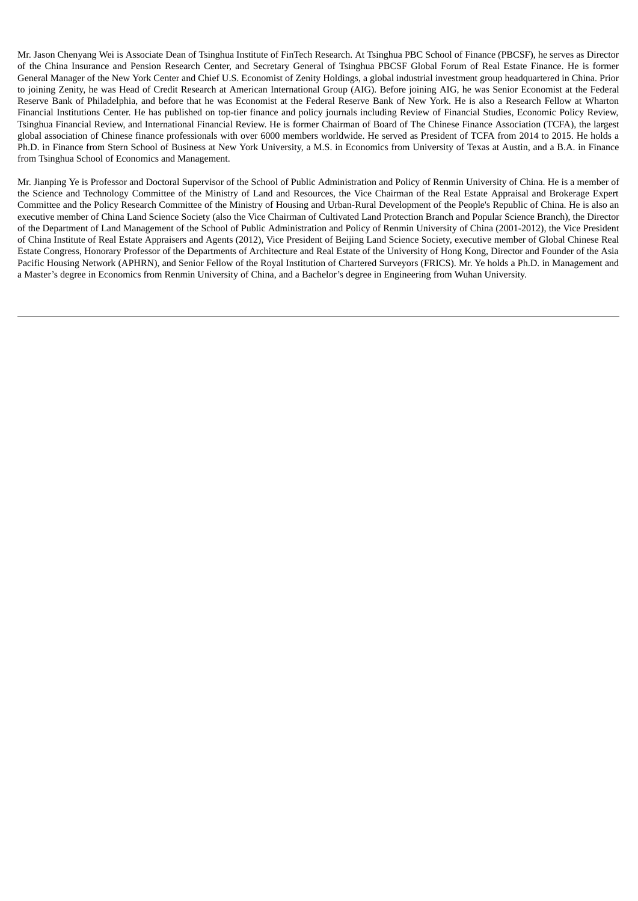Mr. Jason Chenyang Wei is Associate Dean of Tsinghua Institute of FinTech Research. At Tsinghua PBC School of Finance (PBCSF), he serves as Director of the China Insurance and Pension Research Center, and Secretary General of Tsinghua PBCSF Global Forum of Real Estate Finance. He is former General Manager of the New York Center and Chief U.S. Economist of Zenity Holdings, a global industrial investment group headquartered in China. Prior to joining Zenity, he was Head of Credit Research at American International Group (AIG). Before joining AIG, he was Senior Economist at the Federal Reserve Bank of Philadelphia, and before that he was Economist at the Federal Reserve Bank of New York. He is also a Research Fellow at Wharton Financial Institutions Center. He has published on top-tier finance and policy journals including Review of Financial Studies, Economic Policy Review, Tsinghua Financial Review, and International Financial Review. He is former Chairman of Board of The Chinese Finance Association (TCFA), the largest global association of Chinese finance professionals with over 6000 members worldwide. He served as President of TCFA from 2014 to 2015. He holds a Ph.D. in Finance from Stern School of Business at New York University, a M.S. in Economics from University of Texas at Austin, and a B.A. in Finance from Tsinghua School of Economics and Management.

Mr. Jianping Ye is Professor and Doctoral Supervisor of the School of Public Administration and Policy of Renmin University of China. He is a member of the Science and Technology Committee of the Ministry of Land and Resources, the Vice Chairman of the Real Estate Appraisal and Brokerage Expert Committee and the Policy Research Committee of the Ministry of Housing and Urban-Rural Development of the People's Republic of China. He is also an executive member of China Land Science Society (also the Vice Chairman of Cultivated Land Protection Branch and Popular Science Branch), the Director of the Department of Land Management of the School of Public Administration and Policy of Renmin University of China (2001-2012), the Vice President of China Institute of Real Estate Appraisers and Agents (2012), Vice President of Beijing Land Science Society, executive member of Global Chinese Real Estate Congress, Honorary Professor of the Departments of Architecture and Real Estate of the University of Hong Kong, Director and Founder of the Asia Pacific Housing Network (APHRN), and Senior Fellow of the Royal Institution of Chartered Surveyors (FRICS). Mr. Ye holds a Ph.D. in Management and a Master's degree in Economics from Renmin University of China, and a Bachelor's degree in Engineering from Wuhan University.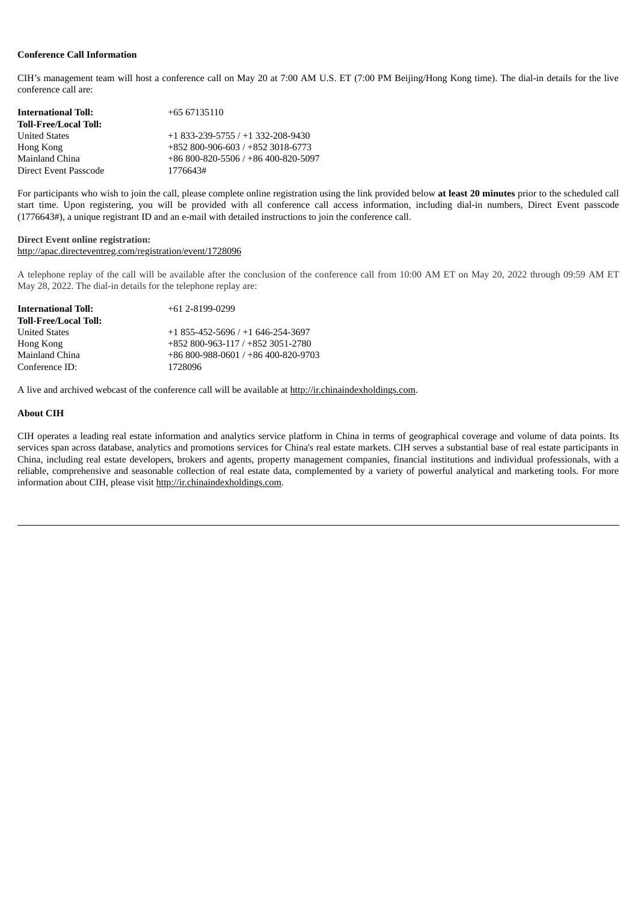# **Conference Call Information**

CIH's management team will host a conference call on May 20 at 7:00 AM U.S. ET (7:00 PM Beijing/Hong Kong time). The dial-in details for the live conference call are:

| <b>International Toll:</b>   | +65 67135110                                  |
|------------------------------|-----------------------------------------------|
| <b>Toll-Free/Local Toll:</b> |                                               |
| <b>United States</b>         | $+1833-239-5755/+1332-208-9430$               |
| Hong Kong                    | $+852800 - 906 - 603 / +8523018 - 6773$       |
| Mainland China               | $+86800 - 820 - 5506$ / $+86400 - 820 - 5097$ |
| Direct Event Passcode        | 1776643#                                      |

For participants who wish to join the call, please complete online registration using the link provided below **at least 20 minutes** prior to the scheduled call start time. Upon registering, you will be provided with all conference call access information, including dial-in numbers, Direct Event passcode (1776643#), a unique registrant ID and an e-mail with detailed instructions to join the conference call.

# **Direct Event online registration:** http://apac.directeventreg.com/registration/event/1728096

A telephone replay of the call will be available after the conclusion of the conference call from 10:00 AM ET on May 20, 2022 through 09:59 AM ET May 28, 2022. The dial-in details for the telephone replay are:

| <b>International Toll:</b>   | $+61$ 2-8199-0299                         |
|------------------------------|-------------------------------------------|
| <b>Toll-Free/Local Toll:</b> |                                           |
| <b>United States</b>         | $+1855 - 452 - 5696 / +1646 - 254 - 3697$ |
| Hong Kong                    | +852 800-963-117 / +852 3051-2780         |
| Mainland China               | +86 800-988-0601 / +86 400-820-9703       |
| Conference ID:               | 1728096                                   |

A live and archived webcast of the conference call will be available at http://ir.chinaindexholdings.com.

## **About CIH**

CIH operates a leading real estate information and analytics service platform in China in terms of geographical coverage and volume of data points. Its services span across database, analytics and promotions services for China's real estate markets. CIH serves a substantial base of real estate participants in China, including real estate developers, brokers and agents, property management companies, financial institutions and individual professionals, with a reliable, comprehensive and seasonable collection of real estate data, complemented by a variety of powerful analytical and marketing tools. For more information about CIH, please visit http://ir.chinaindexholdings.com.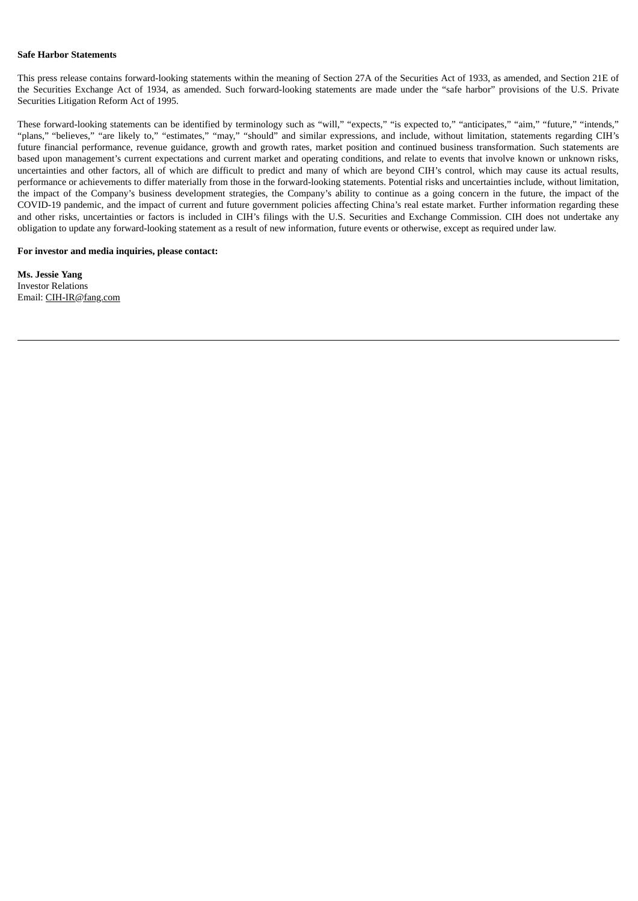## **Safe Harbor Statements**

This press release contains forward-looking statements within the meaning of Section 27A of the Securities Act of 1933, as amended, and Section 21E of the Securities Exchange Act of 1934, as amended. Such forward-looking statements are made under the "safe harbor" provisions of the U.S. Private Securities Litigation Reform Act of 1995.

These forward-looking statements can be identified by terminology such as "will," "expects," "is expected to," "anticipates," "aim," "future," "intends," "plans," "believes," "are likely to," "estimates," "may," "should" and similar expressions, and include, without limitation, statements regarding CIH's future financial performance, revenue guidance, growth and growth rates, market position and continued business transformation. Such statements are based upon management's current expectations and current market and operating conditions, and relate to events that involve known or unknown risks, uncertainties and other factors, all of which are difficult to predict and many of which are beyond CIH's control, which may cause its actual results, performance or achievements to differ materially from those in the forward-looking statements. Potential risks and uncertainties include, without limitation, the impact of the Company's business development strategies, the Company's ability to continue as a going concern in the future, the impact of the COVID-19 pandemic, and the impact of current and future government policies affecting China's real estate market. Further information regarding these and other risks, uncertainties or factors is included in CIH's filings with the U.S. Securities and Exchange Commission. CIH does not undertake any obligation to update any forward-looking statement as a result of new information, future events or otherwise, except as required under law.

# **For investor and media inquiries, please contact:**

**Ms. Jessie Yang** Investor Relations Email: CIH-IR@fang.com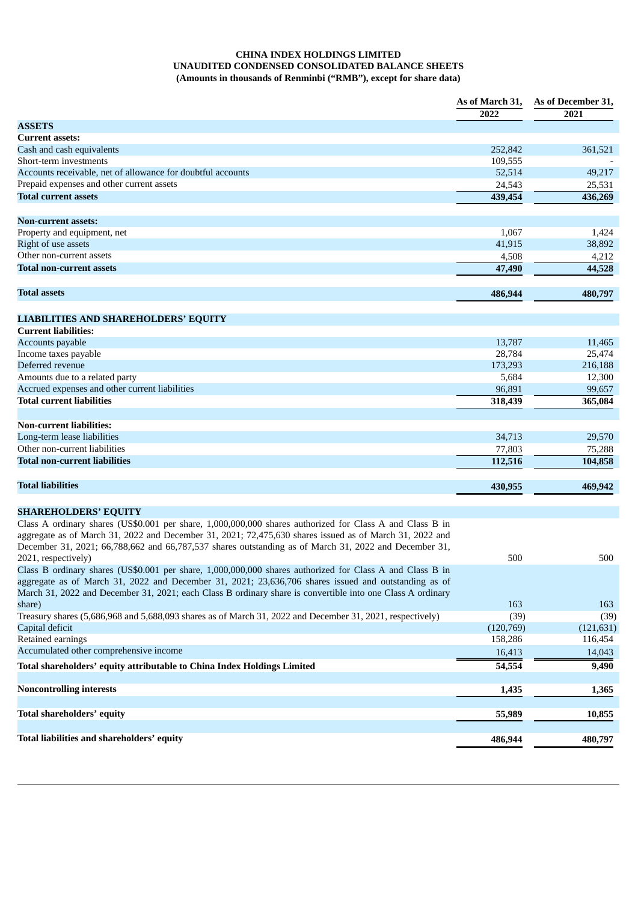# **CHINA INDEX HOLDINGS LIMITED UNAUDITED CONDENSED CONSOLIDATED BALANCE SHEETS (Amounts in thousands of Renminbi ("RMB"), except for share data)**

|                                                                                                            | As of March 31, | As of December 31, |
|------------------------------------------------------------------------------------------------------------|-----------------|--------------------|
|                                                                                                            | 2022            | 2021               |
| <b>ASSETS</b>                                                                                              |                 |                    |
| <b>Current assets:</b>                                                                                     |                 |                    |
| Cash and cash equivalents                                                                                  | 252,842         | 361,521            |
| Short-term investments                                                                                     | 109,555         |                    |
| Accounts receivable, net of allowance for doubtful accounts                                                | 52,514          | 49,217             |
| Prepaid expenses and other current assets                                                                  | 24,543          | 25,531             |
| <b>Total current assets</b>                                                                                | 439,454         | 436,269            |
| Non-current assets:                                                                                        |                 |                    |
| Property and equipment, net                                                                                | 1,067           | 1,424              |
| Right of use assets                                                                                        | 41,915          | 38,892             |
| Other non-current assets                                                                                   | 4,508           | 4,212              |
| Total non-current assets                                                                                   | 47,490          | 44,528             |
| <b>Total assets</b>                                                                                        | 486,944         | 480,797            |
| <b>LIABILITIES AND SHAREHOLDERS' EQUITY</b>                                                                |                 |                    |
| <b>Current liabilities:</b>                                                                                |                 |                    |
| Accounts payable                                                                                           | 13,787          | 11,465             |
| Income taxes payable                                                                                       | 28,784          | 25,474             |
| Deferred revenue                                                                                           | 173,293         | 216,188            |
| Amounts due to a related party                                                                             | 5,684           | 12,300             |
| Accrued expenses and other current liabilities                                                             | 96,891          | 99,657             |
| <b>Total current liabilities</b>                                                                           | 318,439         | 365,084            |
|                                                                                                            |                 |                    |
| <b>Non-current liabilities:</b>                                                                            |                 |                    |
| Long-term lease liabilities                                                                                | 34,713          | 29,570             |
| Other non-current liabilities                                                                              | 77,803          | 75,288             |
| Total non-current liabilities                                                                              | 112,516         | 104,858            |
|                                                                                                            |                 |                    |
| <b>Total liabilities</b>                                                                                   | 430,955         | 469,942            |
| <b>SHAREHOLDERS' EQUITY</b>                                                                                |                 |                    |
| Class A ordinary shares (US\$0.001 per share, 1,000,000,000 shares authorized for Class A and Class B in   |                 |                    |
| aggregate as of March 31, 2022 and December 31, 2021; 72,475,630 shares issued as of March 31, 2022 and    |                 |                    |
| December 31, 2021; 66,788,662 and 66,787,537 shares outstanding as of March 31, 2022 and December 31,      |                 |                    |
| 2021, respectively)                                                                                        | 500             | 500                |
| Class B ordinary shares (US\$0.001 per share, 1,000,000,000 shares authorized for Class A and Class B in   |                 |                    |
| aggregate as of March 31, 2022 and December 31, 2021; 23,636,706 shares issued and outstanding as of       |                 |                    |
| March 31, 2022 and December 31, 2021; each Class B ordinary share is convertible into one Class A ordinary |                 |                    |
| share)                                                                                                     | 163             | 163                |
| Treasury shares (5,686,968 and 5,688,093 shares as of March 31, 2022 and December 31, 2021, respectively)  | (39)            | (39)               |
| Capital deficit                                                                                            | (120, 769)      | (121, 631)         |
| Retained earnings                                                                                          | 158,286         | 116,454            |
| Accumulated other comprehensive income                                                                     | 16,413          | 14,043             |
| Total shareholders' equity attributable to China Index Holdings Limited                                    | 54,554          | 9,490              |
| <b>Noncontrolling interests</b>                                                                            | 1,435           | 1,365              |
|                                                                                                            |                 |                    |
| Total shareholders' equity                                                                                 | 55,989          | 10,855             |
| Total liabilities and shareholders' equity                                                                 | 486,944         | 480,797            |
|                                                                                                            |                 |                    |